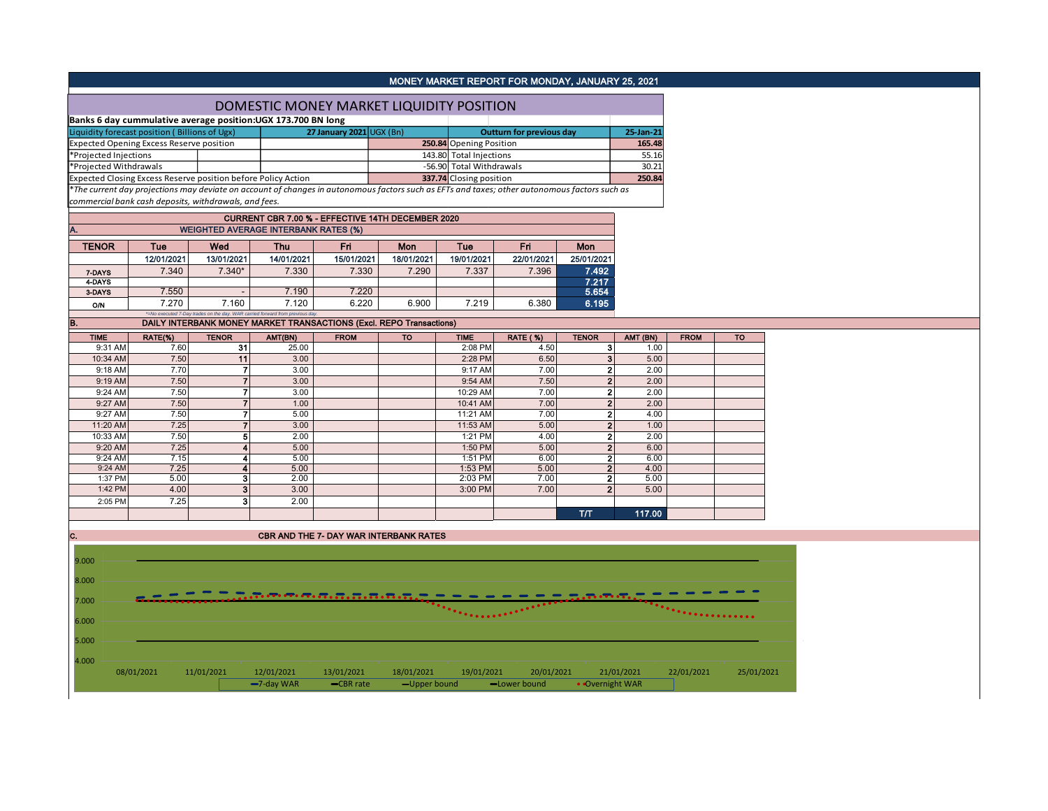## MONEY MARKET REPORT FOR MONDAY, JANUARY 25, 2021

## DOMESTIC MONEY MARKET LIQUIDITY POSITION

| Banks 6 day cummulative average position: UGX 173.700 BN long |                                |  |                          |           |
|---------------------------------------------------------------|--------------------------------|--|--------------------------|-----------|
| Liquidity forecast position (Billions of Ugx)                 | 27 January 2021 $\cup$ GX (Bn) |  | Outturn for previous day | 25-Jan-21 |
| <b>Expected Opening Excess Reserve position</b>               |                                |  | 250.84 Opening Position  | 165.48    |
| *Projected Injections                                         |                                |  | 143.80 Total Injections  | 55.16     |
| *Proiected Withdrawals                                        |                                |  | -56.90 Total Withdrawals | 30.21     |
| Expected Closing Excess Reserve position before Policy Action |                                |  | 337.74 Closing position  | 250.84    |

\**The current day projections may deviate on account of changes in autonomous factors such as EFTs and taxes; other autonomous factors such as commercial bank cash deposits, withdrawals, and fees.*

|              |            |            |                                             | CURRENT CBR 7.00 % - EFFECTIVE 14TH DECEMBER 2020 |            |            |            |            |
|--------------|------------|------------|---------------------------------------------|---------------------------------------------------|------------|------------|------------|------------|
| Α.           |            |            | <b>WEIGHTED AVERAGE INTERBANK RATES (%)</b> |                                                   |            |            |            |            |
| <b>TENOR</b> | Tue        | Wed        | Thu                                         | Fri                                               | Mon        | Tue        | Fri        | Mon        |
|              |            |            |                                             |                                                   |            |            |            |            |
|              | 12/01/2021 | 13/01/2021 | 14/01/2021                                  | 15/01/2021                                        | 18/01/2021 | 19/01/2021 | 22/01/2021 | 25/01/2021 |
| 7-DAYS       | 7.340      | $7.340*$   | 7.330                                       | 7.330                                             | 7.290      | 7.337      | 7.396      | 7.492      |
| 4-DAYS       |            |            |                                             |                                                   |            |            |            | 7.217      |
| 3-DAYS       | 7.550      | -          | 7.190                                       | 7.220                                             |            |            |            | 5.654      |
| O/N          | 7.270      | 7.160      | 7.120                                       | 6.220                                             | 6.900      | 7.219      | 6.380      | 6.195      |
|              |            |            |                                             |                                                   |            |            |            |            |

## *\*=No executed 7-Day trades on the day. WAR carried forward from previous day.*  B. DAILY INTERBANK MONEY MARKET TRANSACTIONS (Excl. REPO Transactions)

| <b>TIME</b> | RATE(%) | <b>TENOR</b> | AMT(BN) | <b>FROM</b> | <b>TO</b> | <b>TIME</b> | <b>RATE (%)</b> | <b>TENOR</b>   | AMT (BN) | <b>FROM</b> | <b>TO</b> |
|-------------|---------|--------------|---------|-------------|-----------|-------------|-----------------|----------------|----------|-------------|-----------|
| 9:31 AM     | 7.60    | 31           | 25.00   |             |           | 2:08 PM     | 4.50            | з              | 1.00     |             |           |
| 10:34 AM    | 7.50    | 11           | 3.00    |             |           | 2:28 PM     | 6.50            | 3              | 5.00     |             |           |
| 9:18 AM     | 7.70    |              | 3.00    |             |           | 9:17 AM     | 7.00            | $\overline{2}$ | 2.00     |             |           |
| 9:19 AM     | 7.50    |              | 3.00    |             |           | 9:54 AM     | 7.50            | $\overline{2}$ | 2.00     |             |           |
| 9:24 AM     | 7.50    |              | 3.00    |             |           | 10:29 AM    | 7.00            | $\mathbf{2}$   | 2.00     |             |           |
| 9:27 AM     | 7.50    |              | 1.00    |             |           | 10:41 AM    | 7.00            | $\overline{2}$ | 2.00     |             |           |
| 9:27 AM     | 7.50    |              | 5.00    |             |           | 11:21 AM    | 7.00            | $\overline{2}$ | 4.00     |             |           |
| 11:20 AM    | 7.25    |              | 3.00    |             |           | 11:53 AM    | 5.00            | $\overline{2}$ | 1.00     |             |           |
| 10:33 AM    | 7.50    | 5            | 2.00    |             |           | 1:21 PM     | 4.00            | $\overline{2}$ | 2.00     |             |           |
| 9:20 AM     | 7.25    |              | 5.00    |             |           | 1:50 PM     | 5.00            | $\overline{2}$ | 6.00     |             |           |
| 9:24 AM     | 7.15    |              | 5.00    |             |           | 1:51 PM     | 6.00            | $\overline{2}$ | 6.00     |             |           |
| 9:24 AM     | 7.25    | 4            | 5.00    |             |           | 1:53 PM     | 5.00            | $\overline{2}$ | 4.00     |             |           |
| 1:37 PM     | 5.00    | 3            | 2.00    |             |           | 2:03 PM     | 7.00            | $\overline{2}$ | 5.00     |             |           |
| 1:42 PM     | 4.00    | 3            | 3.00    |             |           | 3:00 PM     | 7.00            | $\overline{2}$ | 5.00     |             |           |
| 2:05 PM     | 7.25    | 3            | 2.00    |             |           |             |                 |                |          |             |           |
|             |         |              |         |             |           |             |                 | T/T            | 117.00   |             |           |

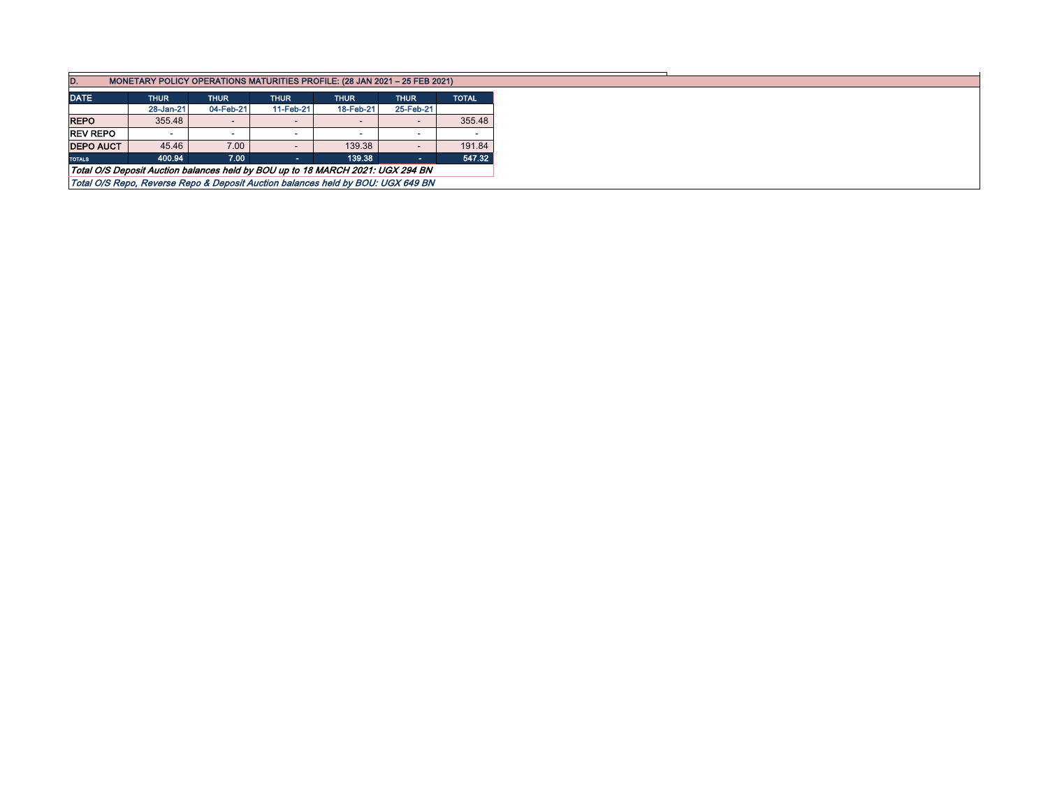|                  | MONETARY POLICY OPERATIONS MATURITIES PROFILE: (28 JAN 2021 - 25 FEB 2021)     |             |                                                                                 |             |             |              |  |  |  |  |  |
|------------------|--------------------------------------------------------------------------------|-------------|---------------------------------------------------------------------------------|-------------|-------------|--------------|--|--|--|--|--|
| ID.              |                                                                                |             |                                                                                 |             |             |              |  |  |  |  |  |
| <b>DATE</b>      | <b>THUR</b>                                                                    | <b>THUR</b> | <b>THUR</b>                                                                     | <b>THUR</b> | <b>THUR</b> | <b>TOTAL</b> |  |  |  |  |  |
|                  | 28-Jan-21                                                                      | 04-Feb-21   | 11-Feb-21                                                                       | 18-Feb-21   | 25-Feb-21   |              |  |  |  |  |  |
| <b>REPO</b>      | 355.48                                                                         |             |                                                                                 |             |             | 355.48       |  |  |  |  |  |
| <b>REV REPO</b>  |                                                                                |             |                                                                                 | -           |             |              |  |  |  |  |  |
| <b>DEPO AUCT</b> | 45.46                                                                          | 7.00        |                                                                                 | 139.38      |             | 191.84       |  |  |  |  |  |
| <b>TOTALS</b>    | 400.94                                                                         | 7.00        | <b>Service</b>                                                                  | 139.38      | <b>COLL</b> | 547.32       |  |  |  |  |  |
|                  | Total O/S Deposit Auction balances held by BOU up to 18 MARCH 2021: UGX 294 BN |             |                                                                                 |             |             |              |  |  |  |  |  |
|                  |                                                                                |             | Total O/S Repo, Reverse Repo & Deposit Auction balances held by BOU: UGX 649 BN |             |             |              |  |  |  |  |  |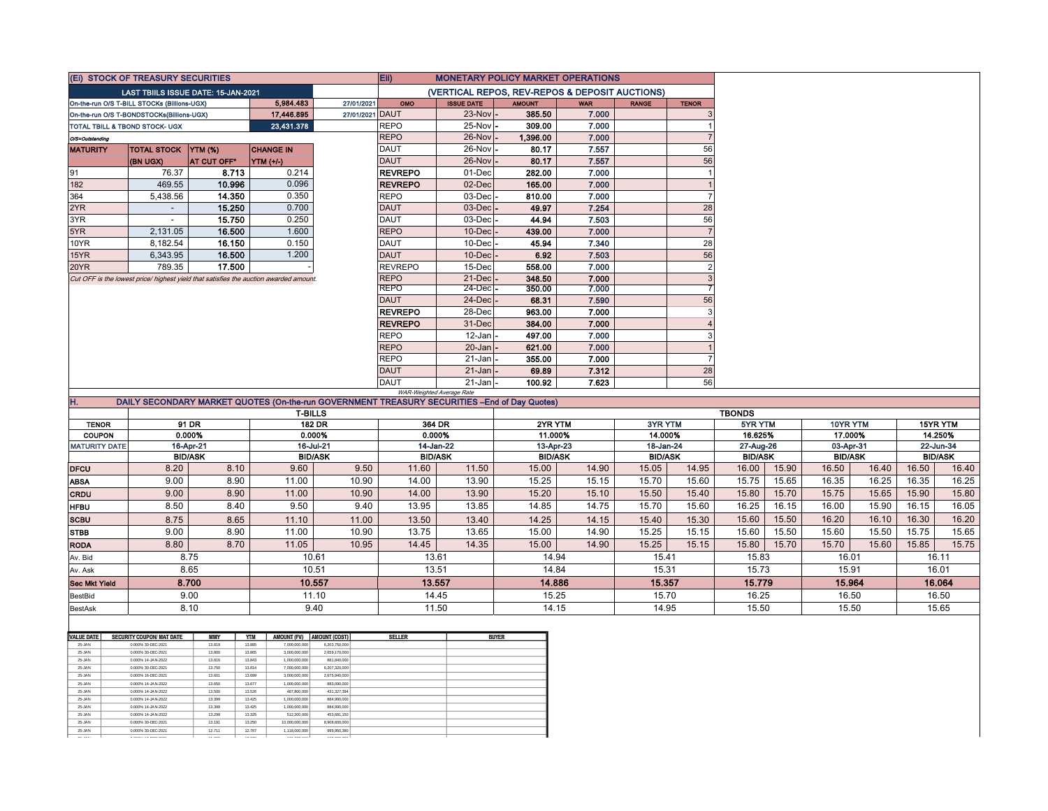|                               | (Ei) STOCK OF TREASURY SECURITIES           |                                     |                                                                                       |                                                                                              | Eii)           | <b>MONETARY POLICY MARKET OPERATIONS</b>       |                |                      |                |                      |                          |       |                |                                   |                |          |
|-------------------------------|---------------------------------------------|-------------------------------------|---------------------------------------------------------------------------------------|----------------------------------------------------------------------------------------------|----------------|------------------------------------------------|----------------|----------------------|----------------|----------------------|--------------------------|-------|----------------|-----------------------------------|----------------|----------|
|                               |                                             | LAST TBIILS ISSUE DATE: 15-JAN-2021 |                                                                                       |                                                                                              |                | (VERTICAL REPOS, REV-REPOS & DEPOSIT AUCTIONS) |                |                      |                |                      |                          |       |                |                                   |                |          |
|                               | On-the-run O/S T-BILL STOCKs (Billions-UGX) |                                     | 5,984.483                                                                             | 27/01/2021                                                                                   | OMO            | <b>ISSUE DATE</b>                              | <b>AMOUNT</b>  | <b>WAR</b>           | <b>RANGE</b>   | <b>TENOR</b>         |                          |       |                |                                   |                |          |
|                               | On-the-run O/S T-BONDSTOCKs(Billions-UGX)   |                                     | 17.446.895                                                                            | 27/01/2021 DAUT                                                                              |                | $23$ -Nov                                      | 385.50         | 7.000                |                |                      |                          |       |                |                                   |                |          |
|                               | TOTAL TBILL & TBOND STOCK- UGX              |                                     | 23,431.378                                                                            |                                                                                              | <b>REPO</b>    | 25-Nov                                         | 309.00         | 7.000                |                |                      |                          |       |                |                                   |                |          |
| O/S=Outstanding               |                                             |                                     |                                                                                       |                                                                                              | <b>REPO</b>    | $26$ -Nov                                      | 1,396.00       | 7.000                |                |                      |                          |       |                |                                   |                |          |
| <b>MATURITY</b>               | TOTAL STOCK   YTM (%)                       |                                     | <b>CHANGE IN</b>                                                                      |                                                                                              | <b>DAUT</b>    | $26$ -Nov                                      | 80.17          | 7.557                |                | 56                   |                          |       |                |                                   |                |          |
|                               | (BN UGX)                                    | <b>AT CUT OFF*</b>                  | YTM (+/-)                                                                             |                                                                                              | <b>DAUT</b>    | $26$ -Nov                                      | 80.17          | 7.557                |                | 56                   |                          |       |                |                                   |                |          |
| 91                            | 76.37                                       | 8.713                               | 0.214                                                                                 |                                                                                              | <b>REVREPO</b> | 01-Dec                                         | 282.00         | 7.000                |                |                      |                          |       |                |                                   |                |          |
| 182                           | 469.55                                      | 10.996                              | 0.096                                                                                 |                                                                                              | <b>REVREPO</b> | 02-Dec                                         | 165.00         | 7.000                |                |                      |                          |       |                |                                   |                |          |
| 364                           | 5,438.56                                    | 14.350                              | 0.350                                                                                 |                                                                                              | <b>REPO</b>    | $03$ -Dec $\cdot$                              | 810.00         | 7.000                |                |                      |                          |       |                |                                   |                |          |
| 2YR                           |                                             | 15.250                              | 0.700                                                                                 |                                                                                              | <b>DAUT</b>    | $03$ -Dec $ -$                                 | 49.97          | 7.254                |                | 28                   |                          |       |                |                                   |                |          |
| 3YR                           |                                             | 15.750                              | 0.250                                                                                 |                                                                                              | <b>DAUT</b>    | $03$ -Dec $\cdot$                              | 44.94          | 7.503                |                | 56                   |                          |       |                |                                   |                |          |
| 5YR                           | 2,131.05                                    | 16.500                              | 1.600                                                                                 |                                                                                              | <b>REPO</b>    | $10$ -Dec $\cdot$                              | 439.00         | 7.000                |                |                      |                          |       |                |                                   |                |          |
| 10YR                          | 8,182.54                                    | 16.150                              | 0.150                                                                                 |                                                                                              | <b>DAUT</b>    | 10-Dec                                         | 45.94          | 7.340                |                | 28                   |                          |       |                |                                   |                |          |
| 15YR                          | 6,343.95                                    | 16.500                              | 1.200                                                                                 |                                                                                              | <b>DAUT</b>    | $10$ -Dec $\vert$                              | 6.92           | 7.503                |                | 56                   |                          |       |                |                                   |                |          |
| 20YR                          | 789.35                                      | 17.500                              |                                                                                       |                                                                                              | <b>REVREPO</b> | 15-Dec                                         | 558.00         | 7.000                |                |                      |                          |       |                |                                   |                |          |
|                               |                                             |                                     | Cut OFF is the lowest price/ highest yield that satisfies the auction awarded amount. |                                                                                              | <b>REPO</b>    | $21$ -Dec $\cdot$                              | 348.50         | 7.000                |                |                      |                          |       |                |                                   |                |          |
|                               |                                             |                                     |                                                                                       |                                                                                              | <b>REPO</b>    | 24-Decl                                        | 350.00         | 7.000                |                |                      |                          |       |                |                                   |                |          |
|                               |                                             |                                     |                                                                                       |                                                                                              | <b>DAUT</b>    | $24$ -Dec $\cdot$                              | 68.31          | 7.590                |                | 56                   |                          |       |                |                                   |                |          |
|                               |                                             |                                     |                                                                                       |                                                                                              | <b>REVREPO</b> | 28-Dec                                         | 963.00         | 7.000                |                |                      |                          |       |                |                                   |                |          |
|                               |                                             |                                     |                                                                                       |                                                                                              | <b>REVREPO</b> | 31-Dec                                         | 384.00         | 7.000                |                |                      |                          |       |                |                                   |                |          |
|                               |                                             |                                     |                                                                                       |                                                                                              | <b>REPO</b>    | $12$ -Jan                                      | 497.00         | 7.000                |                |                      |                          |       |                |                                   |                |          |
|                               |                                             |                                     |                                                                                       |                                                                                              | <b>REPO</b>    | $20 - Jan$                                     | 621.00         | 7.000                |                |                      |                          |       |                |                                   |                |          |
|                               |                                             |                                     |                                                                                       |                                                                                              | <b>REPO</b>    | $21 - Jan$                                     | 355.00         | 7.000                |                |                      |                          |       |                |                                   |                |          |
|                               |                                             |                                     |                                                                                       |                                                                                              | <b>DAUT</b>    | $21$ -Jan $\vert$ -                            | 69.89          | 7.312                |                | 28                   |                          |       |                |                                   |                |          |
|                               |                                             |                                     |                                                                                       |                                                                                              | <b>DAUT</b>    | $21$ -Jan                                      | 100.92         | 7.623                |                | 56                   |                          |       |                |                                   |                |          |
|                               |                                             |                                     |                                                                                       |                                                                                              |                | WAR-Weighted Average Rate                      |                |                      |                |                      |                          |       |                |                                   |                |          |
| H.                            |                                             |                                     |                                                                                       | DAILY SECONDARY MARKET QUOTES (On-the-run GOVERNMENT TREASURY SECURITIES -End of Day Quotes) |                |                                                |                |                      |                |                      |                          |       |                |                                   |                |          |
|                               |                                             | 91 DR                               |                                                                                       | <b>T-BILLS</b><br><b>182 DR</b>                                                              |                | 364 DR                                         | 2YR YTM        |                      | 3YR YTM        |                      | <b>TBONDS</b><br>5YR YTM |       |                | 10YR YTM                          |                | 15YR YTM |
| <b>TENOR</b><br><b>COUPON</b> |                                             | 0.000%                              |                                                                                       | 0.000%                                                                                       | 0.000%         |                                                |                |                      |                |                      |                          |       |                | 17.000%                           |                |          |
| <b>MATURITY DATE</b>          |                                             | 16-Apr-21                           |                                                                                       | 16-Jul-21                                                                                    | 14-Jan-22      | 11.000%<br>13-Apr-23                           |                | 14.000%<br>18-Jan-24 |                | 16.625%<br>27-Aug-26 |                          |       |                | 14.250%<br>03-Apr-31<br>22-Jun-34 |                |          |
|                               |                                             | <b>BID/ASK</b>                      |                                                                                       | <b>BID/ASK</b>                                                                               |                | <b>BID/ASK</b>                                 | <b>BID/ASK</b> |                      | <b>BID/ASK</b> |                      | <b>BID/ASK</b>           |       | <b>BID/ASK</b> |                                   | <b>BID/ASK</b> |          |
| <b>DFCU</b>                   | 8.20                                        | 8.10                                | 9.60                                                                                  | 9.50                                                                                         | 11.60          | 11.50                                          | 15.00          | 14.90                | 15.05          | 14.95                | 16.00                    | 15.90 | 16.50          | 16.40                             | 16.50          | 16.40    |
| <b>ABSA</b>                   | 9.00                                        | 8.90                                | 11.00                                                                                 | 10.90                                                                                        | 14.00          | 13.90                                          | 15.25          | 15.15                | 15.70          | 15.60                | 15.75                    | 15.65 | 16.35          | 16.25                             | 16.35          | 16.25    |
|                               |                                             |                                     |                                                                                       |                                                                                              |                |                                                |                |                      |                |                      |                          |       |                |                                   |                |          |

| <b>BID/ASK</b>       |                           | <b>BID/ASK</b> |        | <b>BID/ASK</b> |       |        | <b>BID/ASK</b> |        | <b>BID/ASK</b> |        | <b>BIDIASK</b> |       | <b>BID/ASK</b> |       | <b>BID/ASK</b> |       |  |
|----------------------|---------------------------|----------------|--------|----------------|-------|--------|----------------|--------|----------------|--------|----------------|-------|----------------|-------|----------------|-------|--|
| <b>DFCU</b>          | 8.20                      | 8.10           | 9.60   | 9.50           | 11.60 | 11.50  | 15.00          | 14.90  | 15.05          | 14.95  | 16.00          | 15.90 | 16.50          | 16.40 | 16.50          | 16.40 |  |
| <b>ABSA</b>          | 9.00                      | 8.90           | 11.00  | 10.90          | 14.00 | 13.90  | 15.25          | 15.15  | 15.70          | 15.60  | 15.75          | 15.65 | 16.35          | 16.25 | 16.35          | 16.25 |  |
| CRDU                 | 9.00                      | 8.90           | 11.00  | 10.90          | 14.00 | 13.90  | 15.20          | 15.10  | 15.50          | 15.40  | 15.80          | 15.70 | 15.75          | 15.65 | 15.90          | 15.80 |  |
| <b>HFBU</b>          | 8.50                      | 8.40           | 9.50   | 9.40           | 13.95 | 13.85  | 14.85          | 14.75  | 15.70          | 15.60  | 16.25          | 16.15 | 16.00          | 15.90 | 16.15          | 16.05 |  |
| <b>SCBU</b>          | 8.75                      | 8.65           | 11.10  | 11.00          | 13.50 | 13.40  | 14.25          | 14.15  | 15.40          | 15.30  | 15.60          | 15.50 | 16.20          | 16.10 | 16.30          | 16.20 |  |
| <b>STBB</b>          | 9.00                      | 8.90           | 11.00  | 10.90          | 13.75 | 13.65  | 15.00          | 14.90  | 15.25          | 15.15  | 15.60          | 15.50 | 15.60          | 15.50 | 15.75          | 15.65 |  |
| <b>RODA</b>          | 8.80                      | 8.70           | 11.05  | 10.95          | 14.45 | 14.35  | 15.00          | 14.90  | 15.25          | 15.15  | 15.80          | 15.70 | 15.70          | 15.60 | 15.85          | 15.75 |  |
| Av. Bid              |                           | 8.75           |        | 10.61          | 13.61 |        | 14.94          |        | 15.41          |        | 15.83          |       | 16.01          |       | 16.11          |       |  |
| Av. Ask              |                           | 8.65           |        | 10.51          | 13.51 |        | 14.84          |        |                | 15.31  |                | 15.73 |                | 15.91 |                | 16.01 |  |
| <b>Sec Mkt Yield</b> | 10.557<br>13.557<br>8.700 |                | 14.886 |                |       | 15.357 |                | 15.779 |                | 15.964 | 16.064         |       |                |       |                |       |  |
| BestBid              | 9.00<br>11.10<br>14.45    |                | 15.25  |                | 15.70 |        | 16.25          |        | 16.50          |        | 16.50          |       |                |       |                |       |  |
| <b>BestAsk</b>       |                           | 8.10           |        | 9.40           | 11.50 |        |                | 14.15  |                | 14.95  |                | 15.50 |                | 15.50 |                | 15.65 |  |
|                      |                           |                |        |                |       |        |                |        |                |        |                |       |                |       |                |       |  |

| <b>VALUE DATE</b> | <b>SECURITY COUPON/ MAT DATE</b> | <b>MMY</b> | <b>YTM</b> | AMOUNT (FV)    | <b>AMOUNT (COST)</b> | <b>SELLER</b> | <b>BUYER</b> |
|-------------------|----------------------------------|------------|------------|----------------|----------------------|---------------|--------------|
| 25-JAN            | 0.000% 30-DEC-2021               | 13,819     | 13,885     | 7.000.000.000  | 6.203.750.000        |               |              |
| 25-JAN            | 0.000% 30-DEC-2021               | 13,800     | 13,865     | 3.000.000.000  | 2.659.170.000        |               |              |
| 25-JAN            | 0.000% 14-JAN-2022               | 13.816     | 13.843     | 1.000.000.000  | 881.840.000          |               |              |
| 25-JAN            | 0.000% 30-DEC-2021               | 13,750     | 13.814     | 7.000.000.000  | 6.207.320.000        |               |              |
| 25-JAN            | 0.000% 16-DEC-2021               | 13,601     | 13,699     | 3.000.000.000  | 2.675.940.000        |               |              |
| 25-JAN            | 0.000% 14-JAN-2022               | 13,650     | 13,677     | 1.000.000.000  | 883,090,000          |               |              |
| 25-JAN            | 0.000% 14-JAN-2022               | 13,500     | 13.526     | 487.800.000    | 431.327.394          |               |              |
| 25-JAN            | 0.000% 14-JAN-2022               | 13.399     | 13.425     | 1.000.000.000  | 884,990,000          |               |              |
| 25-JAN            | 0.000% 14-JAN-2022               | 13.399     | 13.425     | 1.000.000.000  | 884.990.000          |               |              |
| 25-JAN            | 0.000% 14-JAN-2022               | 13.299     | 13.325     | 512,200,000    | 453.681.150          |               |              |
| 25-JAN            | 0.000% 30-DEC-2021               | 13.191     | 13,250     | 10.000.000.000 | 8.908.600.000        |               |              |
| 25-JAN            | 0.000% 30-DEC-2021               | 12.711     | 12.767     | 1.118.000.000  | 999.950.380          |               |              |
| $- - - - - - -$   | . <b></b>                        |            | $ -$       | .              | 1.22 1.22 1.22 1.22  |               |              |